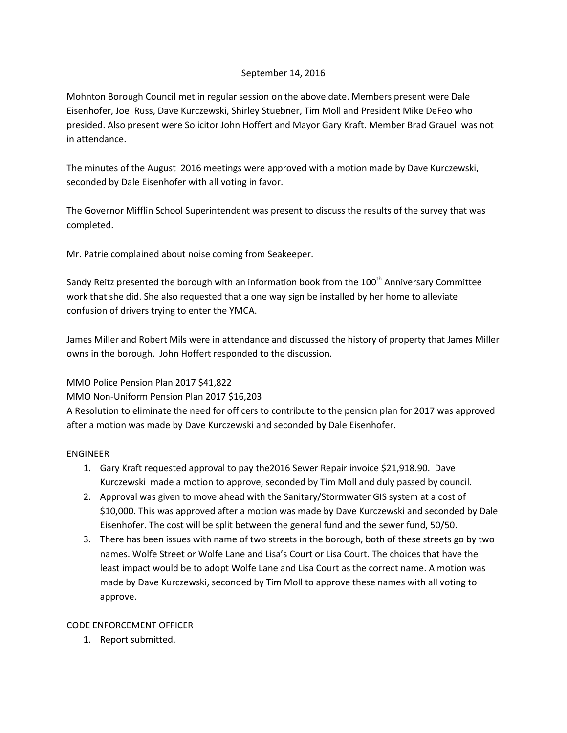## September 14, 2016

Mohnton Borough Council met in regular session on the above date. Members present were Dale Eisenhofer, Joe Russ, Dave Kurczewski, Shirley Stuebner, Tim Moll and President Mike DeFeo who presided. Also present were Solicitor John Hoffert and Mayor Gary Kraft. Member Brad Grauel was not in attendance.

The minutes of the August 2016 meetings were approved with a motion made by Dave Kurczewski, seconded by Dale Eisenhofer with all voting in favor.

The Governor Mifflin School Superintendent was present to discuss the results of the survey that was completed.

Mr. Patrie complained about noise coming from Seakeeper.

Sandy Reitz presented the borough with an information book from the 100<sup>th</sup> Anniversary Committee work that she did. She also requested that a one way sign be installed by her home to alleviate confusion of drivers trying to enter the YMCA.

James Miller and Robert Mils were in attendance and discussed the history of property that James Miller owns in the borough. John Hoffert responded to the discussion.

MMO Police Pension Plan 2017 \$41,822

MMO Non-Uniform Pension Plan 2017 \$16,203

A Resolution to eliminate the need for officers to contribute to the pension plan for 2017 was approved after a motion was made by Dave Kurczewski and seconded by Dale Eisenhofer.

# ENGINEER

- 1. Gary Kraft requested approval to pay the2016 Sewer Repair invoice \$21,918.90. Dave Kurczewski made a motion to approve, seconded by Tim Moll and duly passed by council.
- 2. Approval was given to move ahead with the Sanitary/Stormwater GIS system at a cost of \$10,000. This was approved after a motion was made by Dave Kurczewski and seconded by Dale Eisenhofer. The cost will be split between the general fund and the sewer fund, 50/50.
- 3. There has been issues with name of two streets in the borough, both of these streets go by two names. Wolfe Street or Wolfe Lane and Lisa's Court or Lisa Court. The choices that have the least impact would be to adopt Wolfe Lane and Lisa Court as the correct name. A motion was made by Dave Kurczewski, seconded by Tim Moll to approve these names with all voting to approve.

# CODE ENFORCEMENT OFFICER

1. Report submitted.